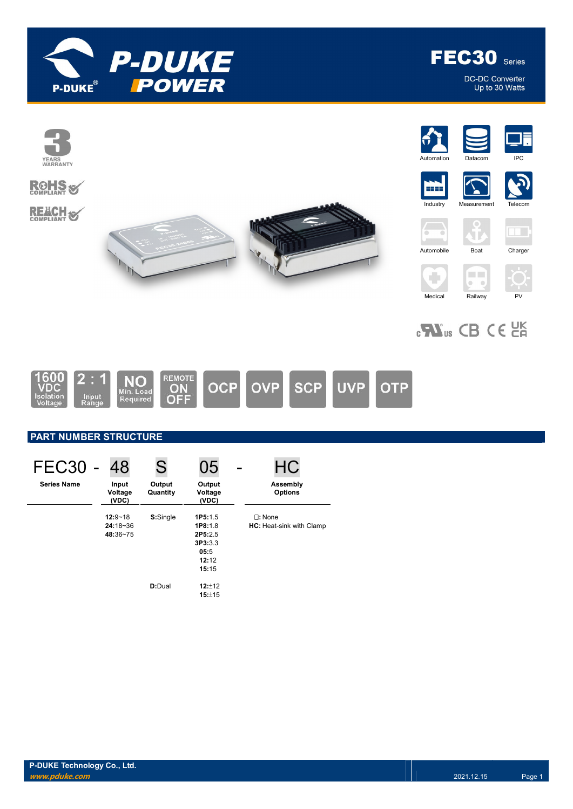

**Contract** 

п  $\mathbb{R}^n$ YEARS<br>WARRANTY

**ROHS** 

**REACH S** 



 $\Box$ 







# $_{c}$ N<sub>us</sub> CB CE  $_{c}$ EK

Medical Railway PV



## PART NUMBER STRUCTURE

| FEC <sub>30</sub>  | 48                        | S                  | 05                         | HC                              |
|--------------------|---------------------------|--------------------|----------------------------|---------------------------------|
| <b>Series Name</b> | Input<br>Voltage<br>(VDC) | Output<br>Quantity | Output<br>Voltage<br>(VDC) | Assembly<br><b>Options</b>      |
|                    | $12:9 - 18$               | S:Single           | 1P5:1.5                    | $\Box$ : None                   |
|                    | $24:18-36$                |                    | 1P8:1.8                    | <b>HC:</b> Heat-sink with Clamp |
|                    | 48:36~75                  |                    | 2P5:2.5                    |                                 |
|                    |                           |                    | 3P3:3.3                    |                                 |
|                    |                           |                    | 05:5                       |                                 |
|                    |                           |                    | 12:12                      |                                 |
|                    |                           |                    | 15:15                      |                                 |
|                    |                           | D:Dual             | $12:+12$                   |                                 |
|                    |                           |                    | 15:±15                     |                                 |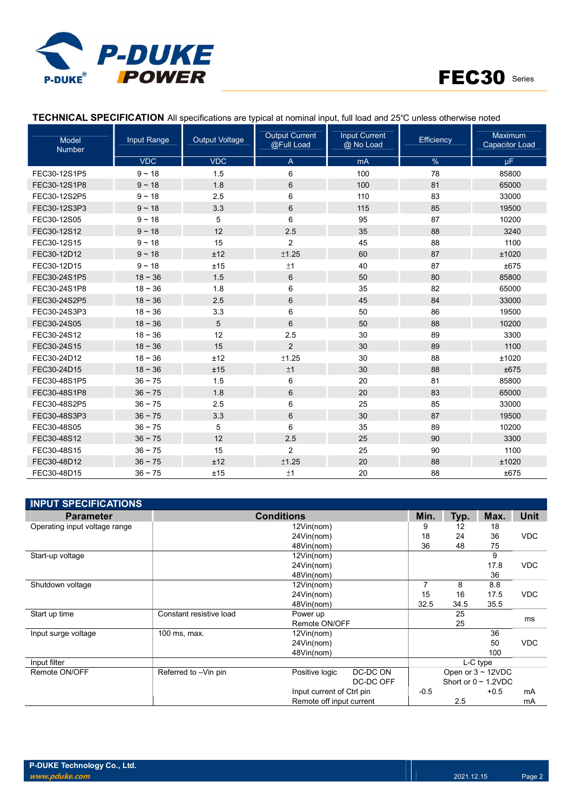



| Model<br><b>Number</b> | <b>Input Range</b> | <b>Output Current</b><br><b>Input Current</b><br><b>Output Voltage</b><br>Efficiency<br>@Full Load<br>@ No Load |                |     | <b>Maximum</b><br><b>Capacitor Load</b> |       |
|------------------------|--------------------|-----------------------------------------------------------------------------------------------------------------|----------------|-----|-----------------------------------------|-------|
|                        | <b>VDC</b>         | <b>VDC</b>                                                                                                      | A              | mA  | $\%$                                    | μF.   |
| FEC30-12S1P5           | $9 - 18$           | 1.5                                                                                                             | 6              | 100 | 78                                      | 85800 |
| FEC30-12S1P8           | $9 - 18$           | 1.8                                                                                                             | 6              | 100 | 81                                      | 65000 |
| FEC30-12S2P5           | $9 - 18$           | 2.5                                                                                                             | 6              | 110 | 83                                      | 33000 |
| FEC30-12S3P3           | $9 - 18$           | 3.3                                                                                                             | $\,6\,$        | 115 | 85                                      | 19500 |
| FEC30-12S05            | $9 - 18$           | 5                                                                                                               | 6              | 95  | 87                                      | 10200 |
| FEC30-12S12            | $9 - 18$           | 12                                                                                                              | 2.5            | 35  | 88                                      | 3240  |
| FEC30-12S15            | $9 - 18$           | 15                                                                                                              | $\overline{2}$ | 45  | 88                                      | 1100  |
| FEC30-12D12            | $9 - 18$           | ±12                                                                                                             | $\pm 1.25$     | 60  | 87                                      | ±1020 |
| FEC30-12D15            | $9 - 18$           | ±15                                                                                                             | ±1             | 40  | 87                                      | ±675  |
| FEC30-24S1P5           | $18 - 36$          | 1.5                                                                                                             | 6              | 50  | 80                                      | 85800 |
| FEC30-24S1P8           | $18 - 36$          | 1.8                                                                                                             | 6              | 35  | 82                                      | 65000 |
| FEC30-24S2P5           | $18 - 36$          | 2.5                                                                                                             | 6              | 45  | 84                                      | 33000 |
| FEC30-24S3P3           | $18 - 36$          | 3.3                                                                                                             | 6              | 50  | 86                                      | 19500 |
| FEC30-24S05            | $18 - 36$          | $\sqrt{5}$                                                                                                      | 6              | 50  | 88                                      | 10200 |
| FEC30-24S12            | $18 - 36$          | 12                                                                                                              | 2.5            | 30  | 89                                      | 3300  |
| FEC30-24S15            | $18 - 36$          | 15                                                                                                              | $\overline{2}$ | 30  | 89                                      | 1100  |
| FEC30-24D12            | $18 - 36$          | ±12                                                                                                             | ±1.25          | 30  | 88                                      | ±1020 |
| FEC30-24D15            | $18 - 36$          | ±15                                                                                                             | ±1             | 30  | 88                                      | ±675  |
| FEC30-48S1P5           | $36 \sim 75$       | 1.5                                                                                                             | 6              | 20  | 81                                      | 85800 |
| FEC30-48S1P8           | $36 \sim 75$       | 1.8                                                                                                             | $\,6\,$        | 20  | 83                                      | 65000 |
| FEC30-48S2P5           | $36 \sim 75$       | 2.5                                                                                                             | 6              | 25  | 85                                      | 33000 |
| FEC30-48S3P3           | $36 \sim 75$       | 3.3                                                                                                             | $\,6\,$        | 30  | 87                                      | 19500 |
| FEC30-48S05            | $36 \sim 75$       | 5                                                                                                               | 6              | 35  | 89                                      | 10200 |
| FEC30-48S12            | $36 - 75$          | 12                                                                                                              | 2.5            | 25  | 90                                      | 3300  |
| FEC30-48S15            | $36 \sim 75$       | 15                                                                                                              | 2              | 25  | 90                                      | 1100  |
| FEC30-48D12            | $36 \sim 75$       | ±12                                                                                                             | ±1.25          | 20  | 88                                      | ±1020 |
| FEC30-48D15            | $36 \sim 75$       | ±15                                                                                                             | ±1             | 20  | 88                                      | ±675  |

## TECHNICAL SPECIFICATION All specifications are typical at nominal input, full load and 25℃ unless otherwise noted

| <b>INPUT SPECIFICATIONS</b>   |                         |                           |           |        |      |                           |             |
|-------------------------------|-------------------------|---------------------------|-----------|--------|------|---------------------------|-------------|
| <b>Parameter</b>              |                         | <b>Conditions</b>         |           | Min.   | Typ. | Max.                      | <b>Unit</b> |
| Operating input voltage range |                         | 12Vin(nom)                |           | 9      | 12   | 18                        |             |
|                               |                         | 24Vin(nom)                |           | 18     | 24   | 36                        | <b>VDC</b>  |
|                               |                         | 48Vin(nom)                |           | 36     | 48   | 75                        |             |
| Start-up voltage              |                         | 12Vin(nom)                |           |        |      | 9                         |             |
|                               |                         | 24Vin(nom)                |           |        |      | 17.8                      | <b>VDC</b>  |
|                               |                         | 48Vin(nom)                |           |        |      | 36                        |             |
| Shutdown voltage              |                         | 12Vin(nom)                |           | 7      | 8    | 8.8                       |             |
|                               |                         | 24Vin(nom)                |           | 15     | 16   | 17.5                      | <b>VDC</b>  |
|                               |                         | 48Vin(nom)                |           | 32.5   | 34.5 | 35.5                      |             |
| Start up time                 | Constant resistive load | Power up                  |           |        | 25   |                           | ms          |
|                               |                         | Remote ON/OFF             |           |        | 25   |                           |             |
| Input surge voltage           | 100 ms, max.            | 12Vin(nom)                |           |        |      | 36                        |             |
|                               |                         | 24Vin(nom)                |           |        |      | 50                        | <b>VDC</b>  |
|                               |                         | 48Vin(nom)                |           |        |      | 100                       |             |
| Input filter                  |                         |                           |           |        |      | L-C type                  |             |
| Remote ON/OFF                 | Referred to -Vin pin    | Positive logic            | DC-DC ON  |        |      | Open or $3 \sim 12$ VDC   |             |
|                               |                         |                           | DC-DC OFF |        |      | Short or $0 \sim 1.2$ VDC |             |
|                               |                         | Input current of Ctrl pin |           | $-0.5$ |      | $+0.5$                    | mA          |
|                               |                         | Remote off input current  |           |        | 2.5  |                           | mA          |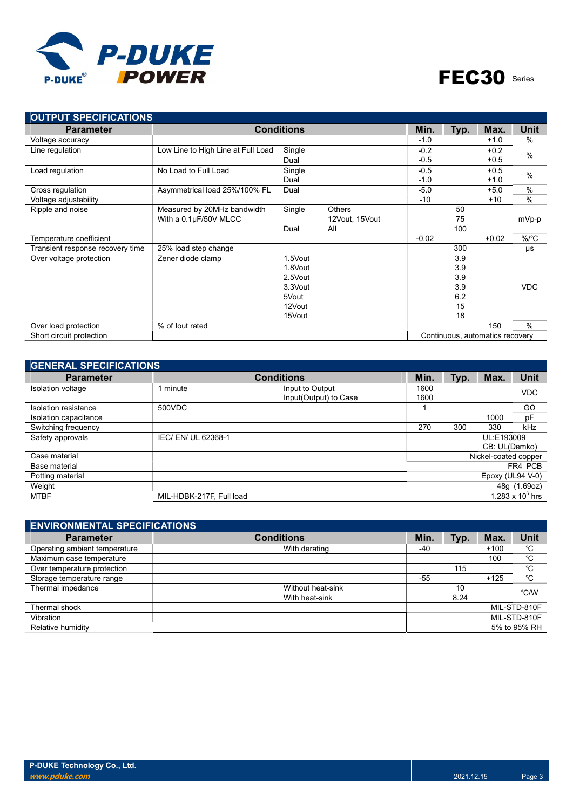

| <b>OUTPUT SPECIFICATIONS</b>     |                                    |                   |                |         |      |                                 |             |
|----------------------------------|------------------------------------|-------------------|----------------|---------|------|---------------------------------|-------------|
| <b>Parameter</b>                 |                                    | <b>Conditions</b> |                | Min.    | Typ. | Max.                            | <b>Unit</b> |
| Voltage accuracy                 |                                    |                   |                | $-1.0$  |      | $+1.0$                          | %           |
| Line regulation                  | Low Line to High Line at Full Load | Single            |                | $-0.2$  |      | $+0.2$                          | $\%$        |
|                                  |                                    | Dual              |                | $-0.5$  |      | $+0.5$                          |             |
| Load regulation                  | No Load to Full Load               | Single            |                | $-0.5$  |      | $+0.5$                          | $\%$        |
|                                  |                                    | Dual              |                | $-1.0$  |      | $+1.0$                          |             |
| Cross regulation                 | Asymmetrical load 25%/100% FL      | Dual              |                | $-5.0$  |      | $+5.0$                          | $\%$        |
| Voltage adjustability            |                                    |                   |                | $-10$   |      | $+10$                           | $\%$        |
| Ripple and noise                 | Measured by 20MHz bandwidth        | Single            | <b>Others</b>  |         | 50   |                                 |             |
|                                  | With a 0.1µF/50V MLCC              |                   | 12Vout, 15Vout |         | 75   |                                 | mVp-p       |
|                                  |                                    | Dual              | All            |         | 100  |                                 |             |
| Temperature coefficient          |                                    |                   |                | $-0.02$ |      | $+0.02$                         | $\%$ /°C    |
| Transient response recovery time | 25% load step change               |                   |                |         | 300  |                                 | μs          |
| Over voltage protection          | Zener diode clamp                  | 1.5Vout           |                |         | 3.9  |                                 |             |
|                                  |                                    | 1.8Vout           |                |         | 3.9  |                                 |             |
|                                  |                                    | 2.5Vout           |                |         | 3.9  |                                 |             |
|                                  |                                    | 3.3Vout           |                |         | 3.9  |                                 | <b>VDC</b>  |
|                                  |                                    | 5Vout             |                |         | 6.2  |                                 |             |
|                                  |                                    | 12Vout            |                |         | 15   |                                 |             |
|                                  |                                    | 15Vout            |                |         | 18   |                                 |             |
| Over load protection             | % of lout rated                    |                   |                |         |      | 150                             | $\%$        |
| Short circuit protection         |                                    |                   |                |         |      | Continuous, automatics recovery |             |

| <b>GENERAL SPECIFICATIONS</b> |                          |                                          |              |      |                      |                    |
|-------------------------------|--------------------------|------------------------------------------|--------------|------|----------------------|--------------------|
| <b>Parameter</b>              |                          | Min.                                     | Typ.         | Max. | <b>Unit</b>          |                    |
| Isolation voltage             | 1 minute                 | Input to Output<br>Input(Output) to Case | 1600<br>1600 |      |                      | <b>VDC</b>         |
| Isolation resistance          | 500VDC                   |                                          |              |      |                      | $G\Omega$          |
| Isolation capacitance         |                          |                                          |              |      | 1000                 | pF                 |
| Switching frequency           |                          |                                          | 270          | 300  | 330                  | kHz                |
| Safety approvals              | IEC/ EN/ UL 62368-1      |                                          |              |      | UL:E193009           |                    |
|                               |                          |                                          |              |      | CB: UL(Demko)        |                    |
| Case material                 |                          |                                          |              |      | Nickel-coated copper |                    |
| Base material                 |                          |                                          |              |      |                      | FR4 PCB            |
| Potting material              |                          |                                          |              |      | Epoxy (UL94 V-0)     |                    |
| Weight                        |                          |                                          |              |      |                      | 48g (1.69oz)       |
| <b>MTBF</b>                   | MIL-HDBK-217F, Full load |                                          |              |      |                      | 1.283 x $10^6$ hrs |

| <b>ENVIRONMENTAL SPECIFICATIONS</b> |                   |       |      |        |              |
|-------------------------------------|-------------------|-------|------|--------|--------------|
| <b>Parameter</b>                    | <b>Conditions</b> | Min.  | Typ. | Max.   | <b>Unit</b>  |
| Operating ambient temperature       | With derating     | -40   |      | $+100$ | °C           |
| Maximum case temperature            |                   |       |      | 100    | °C           |
| Over temperature protection         |                   |       | 115  |        | °C           |
| Storage temperature range           |                   | $-55$ |      | $+125$ | °C           |
| Thermal impedance                   | Without heat-sink |       | 10   |        | °C/W         |
|                                     | With heat-sink    |       | 8.24 |        |              |
| Thermal shock                       |                   |       |      |        | MIL-STD-810F |
| Vibration                           |                   |       |      |        | MIL-STD-810F |
| Relative humidity                   |                   |       |      |        | 5% to 95% RH |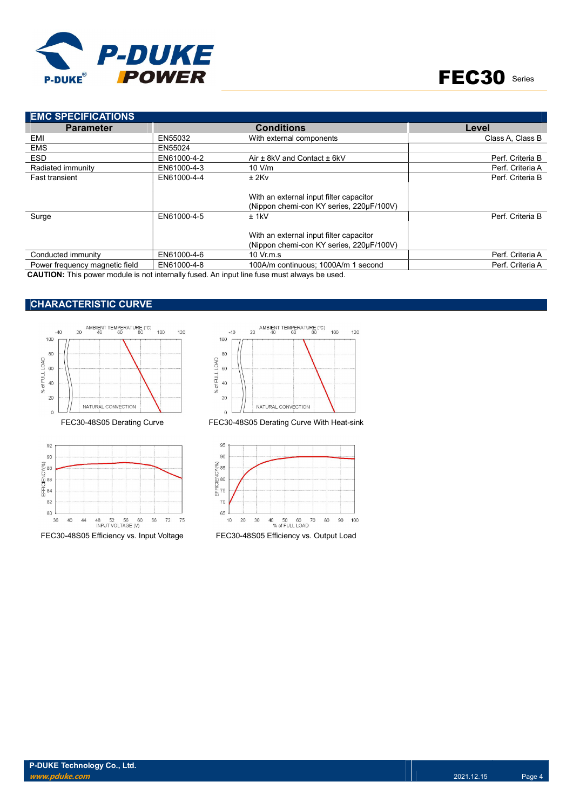

| <b>EMC SPECIFICATIONS</b>      |             |                                                                                     |                  |
|--------------------------------|-------------|-------------------------------------------------------------------------------------|------------------|
| <b>Parameter</b>               |             | <b>Conditions</b>                                                                   | Level            |
| EMI                            | EN55032     | With external components                                                            | Class A. Class B |
| <b>EMS</b>                     | EN55024     |                                                                                     |                  |
| <b>ESD</b>                     | EN61000-4-2 | Air ± 8kV and Contact ± 6kV                                                         | Perf. Criteria B |
| Radiated immunity              | EN61000-4-3 | 10 V/m                                                                              | Perf. Criteria A |
| <b>Fast transient</b>          | EN61000-4-4 | $±$ 2Kv                                                                             | Perf. Criteria B |
|                                |             | With an external input filter capacitor<br>(Nippon chemi-con KY series, 220uF/100V) |                  |
| Surge                          | EN61000-4-5 | $±$ 1kV                                                                             | Perf. Criteria B |
|                                |             | With an external input filter capacitor<br>(Nippon chemi-con KY series, 220µF/100V) |                  |
| Conducted immunity             | EN61000-4-6 | $10 \,$ Vr.m.s                                                                      | Perf. Criteria A |
| Power frequency magnetic field | EN61000-4-8 | 100A/m continuous; 1000A/m 1 second                                                 | Perf. Criteria A |

CAUTION: This power module is not internally fused. An input line fuse must always be used.

## CHARACTERISTIC CURVE







FEC30-48S05 Derating Curve FEC30-48S05 Derating Curve With Heat-sink



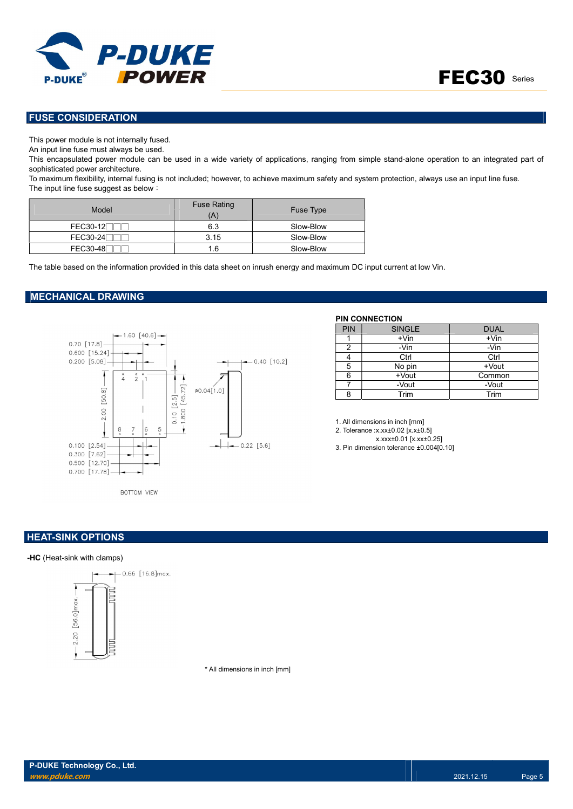



## FUSE CONSIDERATION

This power module is not internally fused.

An input line fuse must always be used.

This encapsulated power module can be used in a wide variety of applications, ranging from simple stand-alone operation to an integrated part of sophisticated power architecture.

To maximum flexibility, internal fusing is not included; however, to achieve maximum safety and system protection, always use an input line fuse. The input line fuse suggest as below:

| Model           | <b>Fuse Rating</b><br>Ά | Fuse Type |
|-----------------|-------------------------|-----------|
| <b>FEC30-12</b> | 6.3                     | Slow-Blow |
| FEC30-24        | 3.15                    | Slow-Blow |
| FEC30-48        | 1.6                     | Slow-Blow |

The table based on the information provided in this data sheet on inrush energy and maximum DC input current at low Vin.

#### MECHANICAL DRAWING



#### PIN CONNECTION

| <b>PIN</b> | <b>SINGLE</b> | <b>DUAL</b> |
|------------|---------------|-------------|
|            | $+V$ in       | $+V$ in     |
| າ          | -Vin          | -Vin        |
|            | Ctrl          | Ctrl        |
| 5          | No pin        | $+$ Vout    |
| հ          | +Vout         | Common      |
|            | -Vout         | -Vout       |
| Ω          | Trim          | Trim        |

1. All dimensions in inch [mm] 2. Tolerance :x.xx±0.02 [x.x±0.5] x.xxx±0.01 [x.xx±0.25] 3. Pin dimension tolerance ±0.004[0.10]

BOTTOM VIEW

### **HEAT-SINK OPTIONS**

#### -HC (Heat-sink with clamps)



\* All dimensions in inch [mm]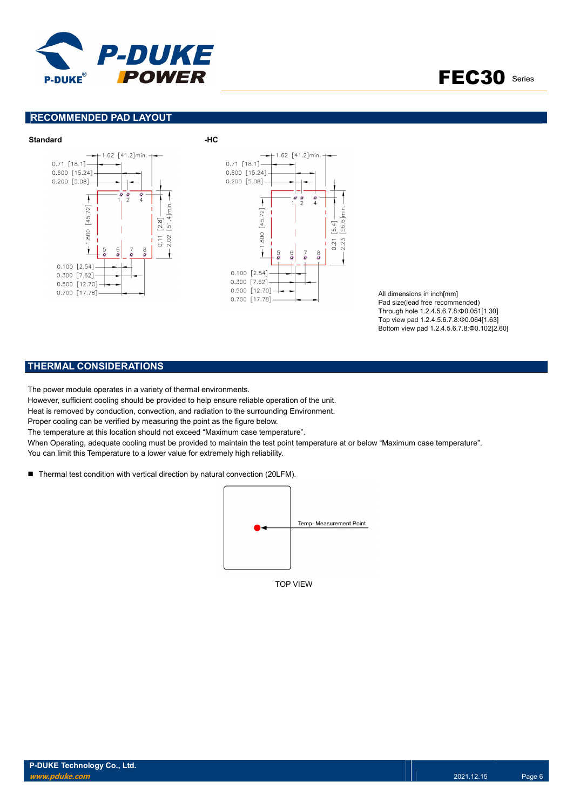

FEC30 Series

## RECOMMENDED PAD LAYOUT



All dimensions in inch[mm] Pad size(lead free recommended) Through hole 1.2.4.5.6.7.8:Φ0.051[1.30] Top view pad 1.2.4.5.6.7.8:Φ0.064[1.63] Bottom view pad 1.2.4.5.6.7.8:Φ0.102[2.60]

## THERMAL CONSIDERATIONS

The power module operates in a variety of thermal environments.

However, sufficient cooling should be provided to help ensure reliable operation of the unit.

Heat is removed by conduction, convection, and radiation to the surrounding Environment.

Proper cooling can be verified by measuring the point as the figure below.

The temperature at this location should not exceed "Maximum case temperature".

When Operating, adequate cooling must be provided to maintain the test point temperature at or below "Maximum case temperature". You can limit this Temperature to a lower value for extremely high reliability.

■ Thermal test condition with vertical direction by natural convection (20LFM).



TOP VIEW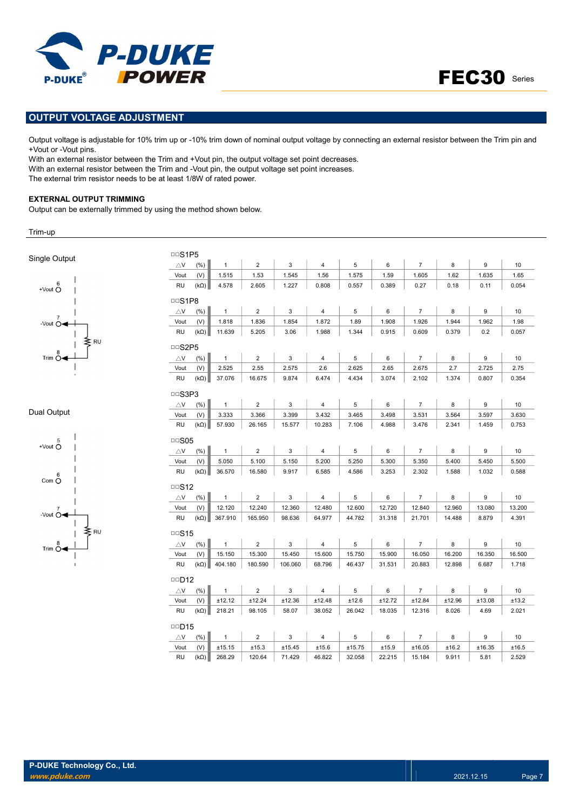



## OUTPUT VOLTAGE ADJUSTMENT

Output voltage is adjustable for 10% trim up or -10% trim down of nominal output voltage by connecting an external resistor between the Trim pin and +Vout or -Vout pins.

With an external resistor between the Trim and +Vout pin, the output voltage set point decreases. With an external resistor between the Trim and -Vout pin, the output voltage set point increases. The external trim resistor needs to be at least 1/8W of rated power.

#### EXTERNAL OUTPUT TRIMMING

Output can be externally trimmed by using the method shown below.

Trim-up

| Single Output                   | <b>DDS1P5</b>              |             |              |                |              |                         |             |        |                  |        |        |        |
|---------------------------------|----------------------------|-------------|--------------|----------------|--------------|-------------------------|-------------|--------|------------------|--------|--------|--------|
|                                 | $\triangle$ V              | (% )        | $\mathbf{1}$ | $\overline{2}$ | 3            | $\overline{4}$          | 5           | 6      | $\overline{7}$   | 8      | 9      | 10     |
|                                 | Vout                       | (V)         | 1.515        | 1.53           | 1.545        | 1.56                    | 1.575       | 1.59   | 1.605            | 1.62   | 1.635  | 1.65   |
| 6<br>+Vout $\check{\mathrm{O}}$ | <b>RU</b>                  | $(k\Omega)$ | 4.578        | 2.605          | 1.227        | 0.808                   | 0.557       | 0.389  | 0.27             | 0.18   | 0.11   | 0.054  |
|                                 | <b>DDS1P8</b>              |             |              |                |              |                         |             |        |                  |        |        |        |
|                                 | $\bigtriangleup\mathsf{V}$ | (% )        | $\mathbf{1}$ | $\overline{2}$ | 3            | $\overline{4}$          | 5           | 6      | $\overline{7}$   | 8      | 9      | 10     |
| -Vout $\overline{O}$            | Vout                       | (V)         | 1.818        | 1.836          | 1.854        | 1.872                   | 1.89        | 1.908  | 1.926            | 1.944  | 1.962  | 1.98   |
|                                 | <b>RU</b>                  | $(k\Omega)$ | 11.639       | 5.205          | 3.06         | 1.988                   | 1.344       | 0.915  | 0.609            | 0.379  | 0.2    | 0.057  |
| ≷RU                             | <b>DDS2P5</b>              |             |              |                |              |                         |             |        |                  |        |        |        |
| Trim $\stackrel{8}{\circ}$      | $\triangle$ V              | (% )        | $\mathbf{1}$ | $\overline{c}$ | 3            | 4                       | 5           | 6      | $\overline{7}$   | 8      | 9      | 10     |
|                                 | Vout                       | (V)         | 2.525        | 2.55           | 2.575        | 2.6                     | 2.625       | 2.65   | 2.675            | 2.7    | 2.725  | 2.75   |
|                                 | <b>RU</b>                  | $(k\Omega)$ | 37.076       | 16.675         | 9.874        | 6.474                   | 4.434       | 3.074  | 2.102            | 1.374  | 0.807  | 0.354  |
|                                 | DDS3P3                     |             |              |                |              |                         |             |        |                  |        |        |        |
|                                 | $\triangle$ V              | (% )        | $\mathbf{1}$ | $\overline{2}$ | 3            | $\overline{4}$          | $\,$ 5 $\,$ | 6      | $\overline{7}$   | 8      | 9      | 10     |
| Dual Output                     | Vout                       | (V)         | 3.333        | 3.366          | 3.399        | 3.432                   | 3.465       | 3.498  | 3.531            | 3.564  | 3.597  | 3.630  |
|                                 | <b>RU</b>                  | $(k\Omega)$ | 57.930       | 26.165         | 15.577       | 10.283                  | 7.106       | 4.988  | 3.476            | 2.341  | 1.459  | 0.753  |
| 5                               | $\Box$ S05                 |             |              |                |              |                         |             |        |                  |        |        |        |
| $+$ Vout $\bigcirc$             | $\triangle$ V              | (%)         | $\mathbf{1}$ | $\overline{2}$ | 3            | $\overline{4}$          | $\,$ 5 $\,$ | 6      | $\boldsymbol{7}$ | $\bf8$ | 9      | 10     |
|                                 | Vout                       | (V)         | 5.050        | 5.100          | 5.150        | 5.200                   | 5.250       | 5.300  | 5.350            | 5.400  | 5.450  | 5.500  |
| 6                               | <b>RU</b>                  | $(k\Omega)$ | 36.570       | 16.580         | 9.917        | 6.585                   | 4.586       | 3.253  | 2.302            | 1.588  | 1.032  | 0.588  |
| Com O                           | $\Box$ S12                 |             |              |                |              |                         |             |        |                  |        |        |        |
|                                 | $\bigtriangleup\mathsf{V}$ | (% )        | $\mathbf{1}$ | $\overline{2}$ | 3            | $\overline{\mathbf{4}}$ | 5           | 6      | $\overline{7}$   | 8      | 9      | 10     |
| -Vout $\overline{O}$            | Vout                       | (V)         | 12.120       | 12.240         | 12.360       | 12.480                  | 12.600      | 12.720 | 12.840           | 12.960 | 13.080 | 13.200 |
|                                 | <b>RU</b>                  | $(k\Omega)$ | 367.910      | 165.950        | 98.636       | 64.977                  | 44.782      | 31.318 | 21.701           | 14.488 | 8.879  | 4.391  |
| ₹RU                             | $\cup$ S <sub>15</sub>     |             |              |                |              |                         |             |        |                  |        |        |        |
| Trim $\stackrel{8}{\circ}$      | $\triangle$ V              | (% )        | $\mathbf{1}$ | $\overline{c}$ | 3            | $\overline{4}$          | $\,$ 5 $\,$ | 6      | $\boldsymbol{7}$ | 8      | 9      | 10     |
|                                 | Vout                       | (V)         | 15.150       | 15.300         | 15.450       | 15.600                  | 15.750      | 15.900 | 16.050           | 16.200 | 16.350 | 16.500 |
|                                 | <b>RU</b>                  | $(k\Omega)$ | 404.180      | 180.590        | 106.060      | 68.796                  | 46.437      | 31.531 | 20.883           | 12.898 | 6.687  | 1.718  |
|                                 | $\Box$ D12                 |             |              |                |              |                         |             |        |                  |        |        |        |
|                                 | $\triangle$ V              | (% )        | $\mathbf{1}$ | $\overline{2}$ | $\mathsf 3$  | $\overline{4}$          | 5           | 6      | $\overline{7}$   | 8      | 9      | 10     |
|                                 | Vout                       | (V)         | ±12.12       | ±12.24         | ±12.36       | ±12.48                  | ±12.6       | ±12.72 | ±12.84           | ±12.96 | ±13.08 | ±13.2  |
|                                 | <b>RU</b>                  | $(k\Omega)$ | 218.21       | 98.105         | 58.07        | 38.052                  | 26.042      | 18.035 | 12.316           | 8.026  | 4.69   | 2.021  |
|                                 | $\Box$ D15                 |             |              |                |              |                         |             |        |                  |        |        |        |
|                                 |                            |             |              |                |              |                         |             |        |                  |        |        |        |
|                                 | $\triangle$ V              | (%)         | $\mathbf{1}$ | $\overline{2}$ | $\mathbf{3}$ | $\overline{4}$          | $\,$ 5 $\,$ | 6      | $\overline{7}$   | $\bf8$ | 9      | 10     |
|                                 | Vout                       | (V)         | ±15.15       | ±15.3          | ±15.45       | ±15.6                   | ±15.75      | ±15.9  | ±16.05           | ±16.2  | ±16.35 | ±16.5  |